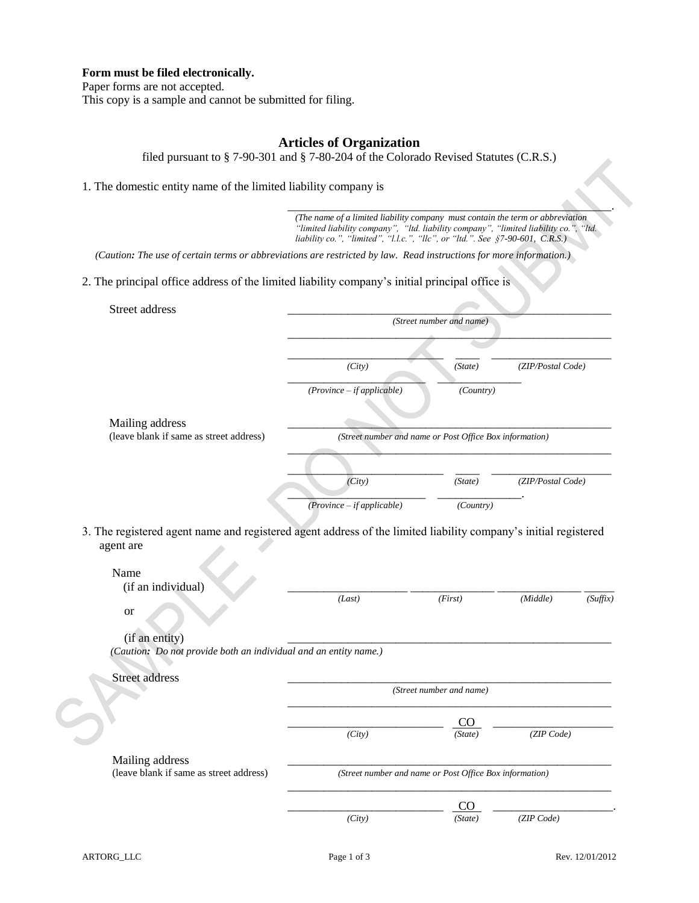### **Form must be filed electronically.**

Paper forms are not accepted.

This copy is a sample and cannot be submitted for filing.

# **Articles of Organization**

filed pursuant to § 7-90-301 and § 7-80-204 of the Colorado Revised Statutes (C.R.S.)

#### 1. The domestic entity name of the limited liability company is

\_\_\_\_\_\_\_\_\_\_\_\_\_\_\_\_\_\_\_\_\_\_\_\_\_\_\_\_\_\_\_\_\_\_\_\_\_\_\_\_\_\_\_\_\_\_\_\_\_\_\_\_\_\_. *(The name of a limited liability company must contain the term or abbreviation "limited liability company", "ltd. liability company", "limited liability co.", "ltd. liability co.", "limited", "l.l.c.", "llc", or "ltd.". See §7-90-601, C.R.S.)*

 *(Caution: The use of certain terms or abbreviations are restricted by law. Read instructions for more information.)*

# 2. The principal office address of the limited liability company's initial principal office is

| Street address                                                                     |                              |                                                         |                   |          |
|------------------------------------------------------------------------------------|------------------------------|---------------------------------------------------------|-------------------|----------|
|                                                                                    |                              | (Street number and name)                                |                   |          |
|                                                                                    | (City)                       | (State)                                                 | (ZIP/Postal Code) |          |
|                                                                                    | $(Province - if applicable)$ | (Country)                                               |                   |          |
| Mailing address                                                                    |                              |                                                         |                   |          |
| (leave blank if same as street address)                                            |                              | (Street number and name or Post Office Box information) |                   |          |
|                                                                                    |                              |                                                         |                   |          |
|                                                                                    | (City)                       | (State)                                                 | (ZIP/Postal Code) |          |
|                                                                                    | $(Province - if applicable)$ | (Country)                                               |                   |          |
| agent are<br>Name                                                                  |                              |                                                         |                   |          |
| (if an individual)                                                                 | (Last)                       | (First)                                                 | (Middle)          |          |
| <b>or</b>                                                                          |                              |                                                         |                   |          |
| (if an entity)<br>(Caution: Do not provide both an individual and an entity name.) |                              |                                                         |                   |          |
| <b>Street address</b>                                                              |                              | (Street number and name)                                |                   |          |
|                                                                                    |                              |                                                         |                   | (Suffix) |
|                                                                                    | (City)                       | CO<br>(State)                                           | (ZIP Code)        |          |
| Mailing address<br>(leave blank if same as street address)                         |                              | (Street number and name or Post Office Box information) |                   |          |
|                                                                                    |                              |                                                         |                   |          |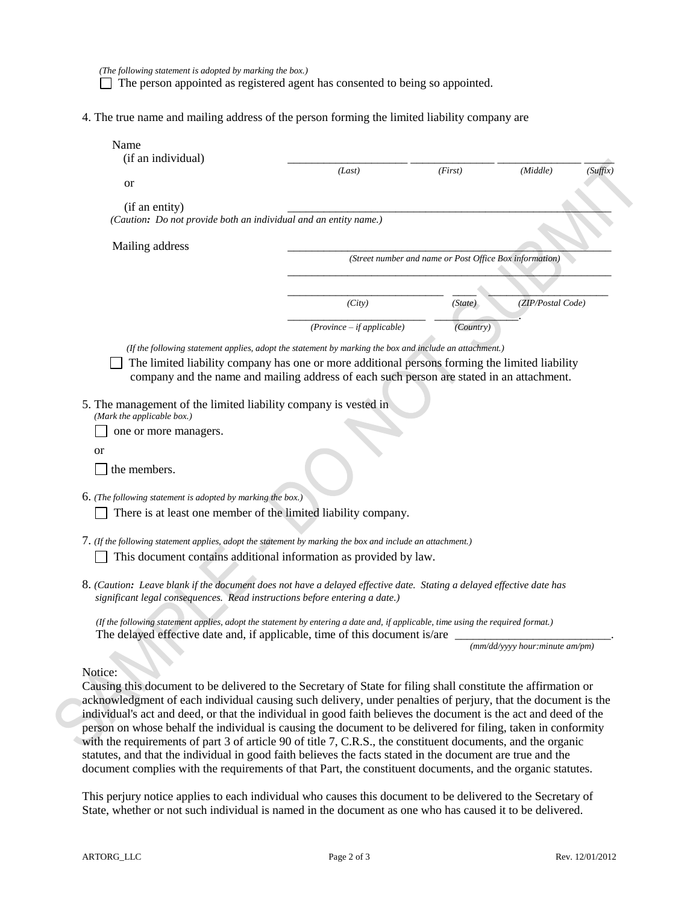*(The following statement is adopted by marking the box.)*

 $\Box$  The person appointed as registered agent has consented to being so appointed.

4. The true name and mailing address of the person forming the limited liability company are

|        |                                                                            |                   | (Suffix)                                                            |
|--------|----------------------------------------------------------------------------|-------------------|---------------------------------------------------------------------|
|        |                                                                            |                   |                                                                     |
|        |                                                                            |                   |                                                                     |
|        |                                                                            |                   |                                                                     |
|        |                                                                            |                   |                                                                     |
|        |                                                                            |                   |                                                                     |
|        |                                                                            |                   |                                                                     |
|        |                                                                            |                   |                                                                     |
|        |                                                                            |                   |                                                                     |
|        |                                                                            |                   |                                                                     |
|        |                                                                            |                   |                                                                     |
|        |                                                                            |                   |                                                                     |
| (City) | (State)                                                                    | (ZIP/Postal Code) |                                                                     |
|        | (Last)<br>(Caution: Do not provide both an individual and an entity name.) | (First)           | (Middle)<br>(Street number and name or Post Office Box information) |

*(If the following statement applies, adopt the statement by marking the box and include an attachment.)* 

 $\Box$  The limited liability company has one or more additional persons forming the limited liability company and the name and mailing address of each such person are stated in an attachment.

5. The management of the limited liability company is vested in

| (Mark the applicable box.)   |
|------------------------------|
| $\Box$ one or more managers. |

or

 $\Box$  the members.

- 6. *(The following statement is adopted by marking the box.)*
	- $\Box$  There is at least one member of the limited liability company.
- 7. *(If the following statement applies, adopt the statement by marking the box and include an attachment.)*

 $\Box$  This document contains additional information as provided by law.

8. *(Caution: Leave blank if the document does not have a delayed effective date. Stating a delayed effective date has significant legal consequences. Read instructions before entering a date.)*

 *(If the following statement applies, adopt the statement by entering a date and, if applicable, time using the required format.)* The delayed effective date and, if applicable, time of this document is/are

*(mm/dd/yyyy hour:minute am/pm)*

## Notice:

Causing this document to be delivered to the Secretary of State for filing shall constitute the affirmation or acknowledgment of each individual causing such delivery, under penalties of perjury, that the document is the individual's act and deed, or that the individual in good faith believes the document is the act and deed of the person on whose behalf the individual is causing the document to be delivered for filing, taken in conformity with the requirements of part 3 of article 90 of title 7, C.R.S., the constituent documents, and the organic statutes, and that the individual in good faith believes the facts stated in the document are true and the document complies with the requirements of that Part, the constituent documents, and the organic statutes.

This perjury notice applies to each individual who causes this document to be delivered to the Secretary of State, whether or not such individual is named in the document as one who has caused it to be delivered.